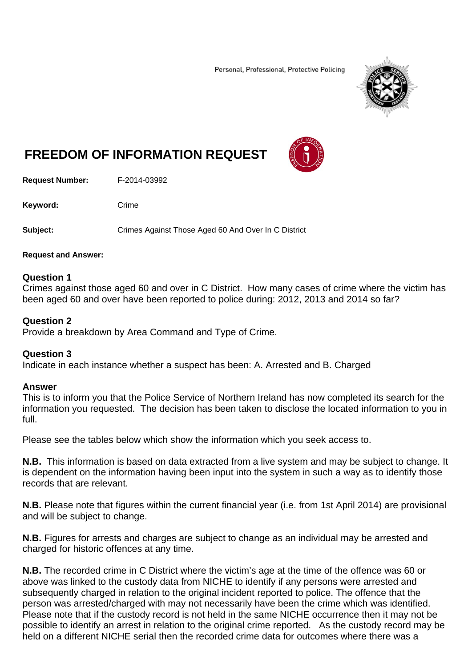Personal, Professional, Protective Policing



# **FREEDOM OF INFORMATION REQUEST**



**Request Number:** F-2014-03992

Keyword: Crime

**Subject:** Crimes Against Those Aged 60 And Over In C District

### **Request and Answer:**

# **Question 1**

Crimes against those aged 60 and over in C District. How many cases of crime where the victim has been aged 60 and over have been reported to police during: 2012, 2013 and 2014 so far?

# **Question 2**

Provide a breakdown by Area Command and Type of Crime.

# **Question 3**

Indicate in each instance whether a suspect has been: A. Arrested and B. Charged

### **Answer**

This is to inform you that the Police Service of Northern Ireland has now completed its search for the information you requested. The decision has been taken to disclose the located information to you in full.

Please see the tables below which show the information which you seek access to.

**N.B.** This information is based on data extracted from a live system and may be subject to change. It is dependent on the information having been input into the system in such a way as to identify those records that are relevant.

**N.B.** Please note that figures within the current financial year (i.e. from 1st April 2014) are provisional and will be subject to change.

**N.B.** Figures for arrests and charges are subject to change as an individual may be arrested and charged for historic offences at any time.

**N.B.** The recorded crime in C District where the victim's age at the time of the offence was 60 or above was linked to the custody data from NICHE to identify if any persons were arrested and subsequently charged in relation to the original incident reported to police. The offence that the person was arrested/charged with may not necessarily have been the crime which was identified. Please note that if the custody record is not held in the same NICHE occurrence then it may not be possible to identify an arrest in relation to the original crime reported. As the custody record may be held on a different NICHE serial then the recorded crime data for outcomes where there was a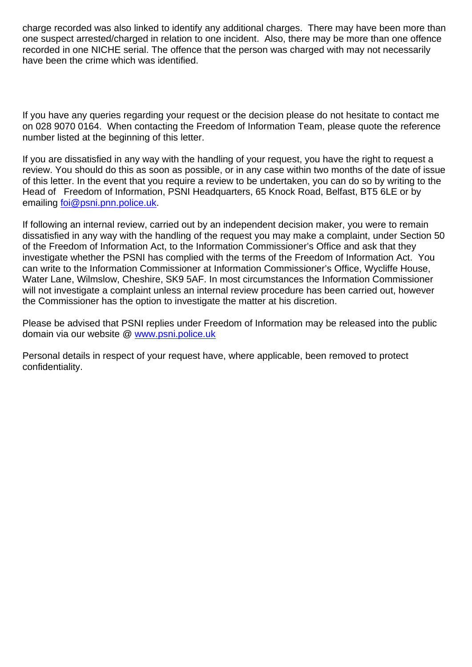charge recorded was also linked to identify any additional charges. There may have been more than one suspect arrested/charged in relation to one incident. Also, there may be more than one offence recorded in one NICHE serial. The offence that the person was charged with may not necessarily have been the crime which was identified.

If you have any queries regarding your request or the decision please do not hesitate to contact me on 028 9070 0164. When contacting the Freedom of Information Team, please quote the reference number listed at the beginning of this letter.

If you are dissatisfied in any way with the handling of your request, you have the right to request a review. You should do this as soon as possible, or in any case within two months of the date of issue of this letter. In the event that you require a review to be undertaken, you can do so by writing to the Head of Freedom of Information, PSNI Headquarters, 65 Knock Road, Belfast, BT5 6LE or by emailing foi@psni.pnn.police.uk.

If following an internal review, carried out by an independent decision maker, you were to remain dissatisfied in any way with the handling of the request you may make a complaint, under Section 50 of the Freedom of Information Act, to the Information Commissioner's Office and ask that they investigate whether the PSNI has complied with the terms of the Freedom of Information Act. You can write to the Information Commissioner at Information Commissioner's Office, Wycliffe House, Water Lane, Wilmslow, Cheshire, SK9 5AF. In most circumstances the Information Commissioner will not investigate a complaint unless an internal review procedure has been carried out, however the Commissioner has the option to investigate the matter at his discretion.

Please be advised that PSNI replies under Freedom of Information may be released into the public domain via our website @ www.psni.police.uk

Personal details in respect of your request have, where applicable, been removed to protect confidentiality.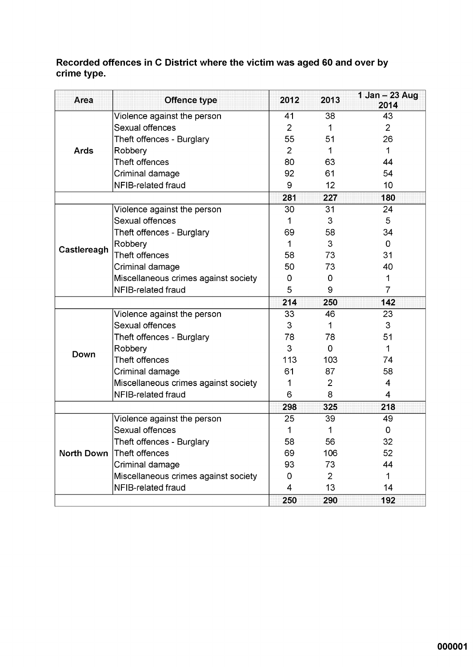# Recorded offences in C District where the victim was aged 60 and over by crime type.

| Area        | <b>Offence type</b>                  | 2012           | 2013           | 1 Jan - 23 Aug<br>2014  |
|-------------|--------------------------------------|----------------|----------------|-------------------------|
|             | Violence against the person          | 41             | 38             | 43                      |
|             | Sexual offences                      | $\overline{2}$ | 1              | $\overline{2}$          |
|             | Theft offences - Burglary            | 55             | 51             | 26                      |
| <b>Ards</b> | Robbery                              | $\overline{2}$ | 1              | $\mathbf 1$             |
|             | Theft offences                       | 80             | 63             | 44                      |
|             | Criminal damage                      | 92             | 61             | 54                      |
|             | NFIB-related fraud                   | 9              | 12             | 10                      |
|             |                                      | 281            | 227            | 180                     |
|             | Violence against the person          | 30             | 31             | 24                      |
|             | Sexual offences                      | 1              | 3              | 5                       |
|             | Theft offences - Burglary            | 69             | 58             | 34                      |
|             | Robbery                              | 1              | 3              | 0                       |
| Castlereagh | Theft offences                       | 58             | 73             | 31                      |
|             | Criminal damage                      | 50             | 73             | 40                      |
|             | Miscellaneous crimes against society | 0              | 0              | 1                       |
|             | NFIB-related fraud                   | 5              | 9              | $\overline{7}$          |
|             |                                      | 214            | 250            | 142                     |
|             | Violence against the person          | 33             | 46             | 23                      |
|             | Sexual offences                      | 3              | 1              | 3                       |
|             | Theft offences - Burglary            | 78             | 78             | 51                      |
| Down        | Robbery                              | 3              | 0              | 1                       |
|             | Theft offences                       | 113            | 103            | 74                      |
|             | Criminal damage                      | 61             | 87             | 58                      |
|             | Miscellaneous crimes against society | 1              | $\overline{2}$ | $\overline{\mathbf{4}}$ |
|             | NFIB-related fraud                   | 6              | 8              | 4                       |
|             |                                      | 298            | 325            | 218                     |
| North Down  | Violence against the person          | 25             | 39             | 49                      |
|             | Sexual offences                      | 1              | 1              | 0                       |
|             | Theft offences - Burglary            | 58             | 56             | 32                      |
|             | Theft offences                       | 69             | 106            | 52                      |
|             | Criminal damage                      | 93             | 73             | 44                      |
|             | Miscellaneous crimes against society | 0              | $\overline{2}$ | 1                       |
|             | NFIB-related fraud                   | $\overline{4}$ | 13             | 14                      |
|             |                                      | 250            | 290            | 192                     |